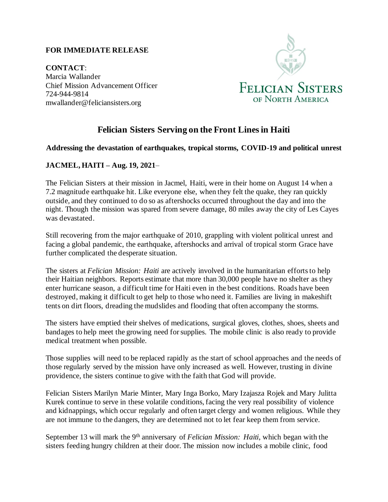## **FOR IMMEDIATE RELEASE**

**CONTACT**: Marcia Wallander Chief Mission Advancement Officer 724-944-9814 mwallander@feliciansisters.org



## **Felician Sisters Serving on the Front Lines in Haiti**

## **Addressing the devastation of earthquakes, tropical storms, COVID-19 and political unrest**

## **JACMEL, HAITI – Aug. 19, 2021**–

The Felician Sisters at their mission in Jacmel, Haiti, were in their home on August 14 when a 7.2 magnitude earthquake hit. Like everyone else, when they felt the quake, they ran quickly outside, and they continued to do so as aftershocks occurred throughout the day and into the night. Though the mission was spared from severe damage, 80 miles away the city of Les Cayes was devastated.

Still recovering from the major earthquake of 2010, grappling with violent political unrest and facing a global pandemic, the earthquake, aftershocks and arrival of tropical storm Grace have further complicated the desperate situation.

The sisters at *Felician Mission: Haiti* are actively involved in the humanitarian efforts to help their Haitian neighbors. Reports estimate that more than 30,000 people have no shelter as they enter hurricane season, a difficult time for Haiti even in the best conditions. Roads have been destroyed, making it difficult to get help to those who need it. Families are living in makeshift tents on dirt floors, dreading the mudslides and flooding that often accompany the storms.

The sisters have emptied their shelves of medications, surgical gloves, clothes, shoes, sheets and bandages to help meet the growing need for supplies. The mobile clinic is also ready to provide medical treatment when possible.

Those supplies will need to be replaced rapidly as the start of school approaches and the needs of those regularly served by the mission have only increased as well. However, trusting in divine providence, the sisters continue to give with the faith that God will provide.

Felician Sisters Marilyn Marie Minter, Mary Inga Borko, Mary Izajasza Rojek and Mary Julitta Kurek continue to serve in these volatile conditions, facing the very real possibility of violence and kidnappings, which occur regularly and often target clergy and women religious. While they are not immune to the dangers, they are determined not to let fear keep them from service.

September 13 will mark the 9<sup>th</sup> anniversary of *Felician Mission: Haiti*, which began with the sisters feeding hungry children at their door. The mission now includes a mobile clinic, food